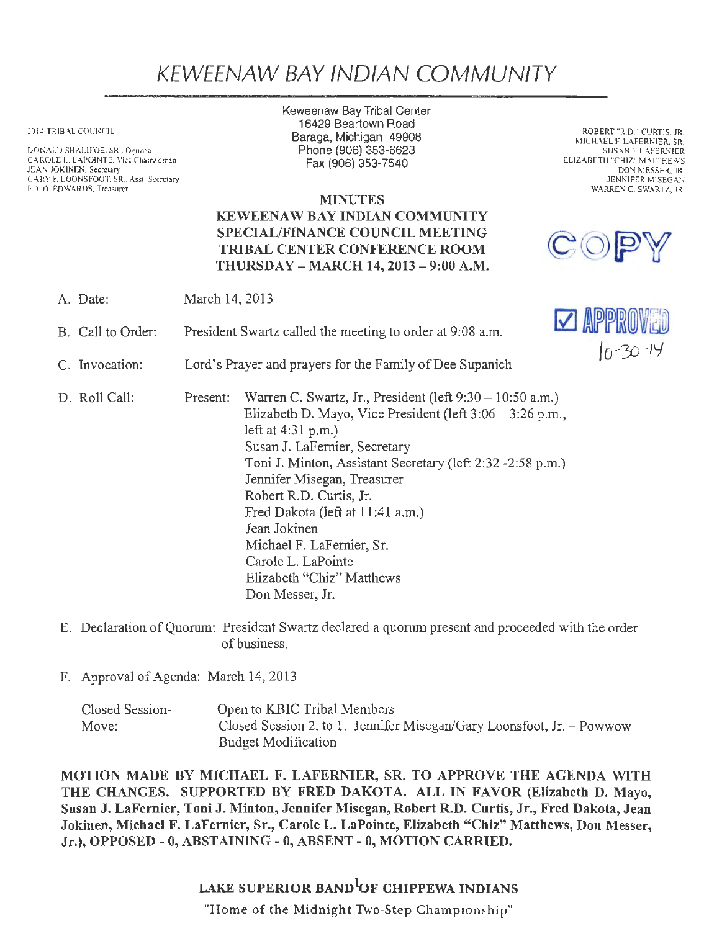## KEWEENAW BAY IND/AN COMMUNITY

2014 TRIBAL COUNCIL

DONALD SHALIFOE. SR., Og.imaa CAROLE L. LAPOINTE, Vice Chairwoman JEAN JOKINEN, Secretary GARY F. LOONSFOOT. SR .. Asst. Secretary EDDY EDWARDS, Treasurer

Keweenaw Bay Tribal Center 16429 Beartown Road Baraga, Michigan 49908 Phone (906) 353-6623 Fax (906) 353-7540

**MINUTES** KEWEENAW BAY INDIAN COMMUNITY SPECIAL/FINANCE COUNCIL MEETING TRIBAL CENTER CONFERENCE ROOM THURSDAY -MARCH 14, 2013-9:00 A.M.

ROBERT "R.D." CURTIS, JR. MICHAEL F. LAFERNIER, SR. SUSAN J. LAFERNIER ELIZABETH "CHIZ" MATTHEWS DON MESSER, JR. JENNIFER MISEGAN WARREN C. SWARTZ, JR.

| A. Date:          | March 14, 2013                                           |                                                                                                                                                                                                                                                                                                                                                                                                                                                 |                |
|-------------------|----------------------------------------------------------|-------------------------------------------------------------------------------------------------------------------------------------------------------------------------------------------------------------------------------------------------------------------------------------------------------------------------------------------------------------------------------------------------------------------------------------------------|----------------|
| B. Call to Order: |                                                          | President Swartz called the meeting to order at 9:08 a.m.                                                                                                                                                                                                                                                                                                                                                                                       | $\vee$ APPR    |
| C. Invocation:    | Lord's Prayer and prayers for the Family of Dee Supanich |                                                                                                                                                                                                                                                                                                                                                                                                                                                 | $10 - 30 - 19$ |
| D. Roll Call:     | Present:                                                 | Warren C. Swartz, Jr., President (left $9:30 - 10:50$ a.m.)<br>Elizabeth D. Mayo, Vice President (left $3:06 - 3:26$ p.m.,<br>left at $4:31$ p.m.)<br>Susan J. LaFernier, Secretary<br>Toni J. Minton, Assistant Secretary (left 2:32 -2:58 p.m.)<br>Jennifer Misegan, Treasurer<br>Robert R.D. Curtis, Jr.<br>Fred Dakota (left at 11:41 a.m.)<br>Jean Jokinen<br>Michael F. LaFernier, Sr.<br>Carole L. LaPointe<br>Elizabeth "Chiz" Matthews |                |

E. Declaration of Quorum: President Swartz declared a quorum present and proceeded with the order of business.

Don Messer, Jr.

F. Approval of Agenda: March 14, 2013

| Closed Session- | Open to KBIC Tribal Members                                           |
|-----------------|-----------------------------------------------------------------------|
| Move:           | Closed Session 2. to 1. Jennifer Misegan/Gary Loonsfoot, Jr. – Powwow |
|                 | Budget Modification                                                   |

MOTION MADE BY MICHAEL F. LAFERNIER, SR. TO APPROVE THE AGENDA WITH THE CHANGES. SUPPORTED BY FRED DAKOTA. ALL IN FAVOR (Elizabeth D. Mayo, Susan J. LaFernier, Toni J. Minton, Jennifer Misegan, Robert R.D. Curtis, Jr., Fred Dakota, Jean Jokinen, Michael F. LaFernier, Sr., Carole L. LaPointe, Elizabeth "Chiz" Matthews, Don Messer, Jr.), OPPOSED - O, ABSTAINING - O, ABSENT - O, MOTION CARRIED.

## LAKE SUPERIOR BAND<sup>1</sup>OF CHIPPEWA INDIANS

"Home of the Midnight Two-Step Championship"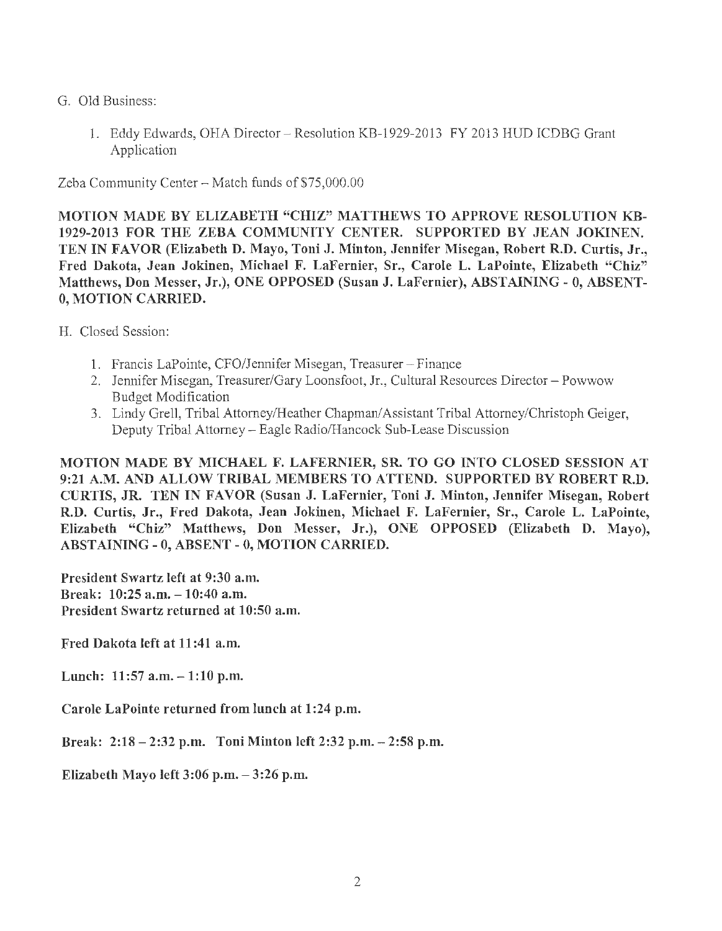- G. Old Business:
	- 1. Eddy Edwards, OHA Director Resolution KB-1929-2013 FY 2013 HUD ICDBG Grant Application

Zeba Community Center - Match funds of \$75,000.00

MOTION MADE BY ELIZABETH "CHIZ" MATTHEWS TO APPROVE RESOLUTION KB-1929-2013 FOR THE ZEBA COMMUNITY CENTER. SUPPORTED BY JEAN JOKINEN. TEN IN FAVOR (Elizabeth D. Mayo, Toni J. Minton, Jennifer Misegan, Robert R.D. Curtis, Jr., Fred Dakota, Jean Jokinen, Michael F. LaFernier, Sr., Carole L. LaPointe, Elizabeth "Chiz" Matthews, Don Messer, Jr.), ONE OPPOSED (Susan J. LaFernier), ABSTAINING - O, ABSENT-0, MOTION CARRIED.

H. Closed Session:

- 1. Francis LaPointe, CFO/Jennifer Misegan, Treasurer Finance
- 2. Jennifer Misegan, Treasurer/Gary Loonsfoot, Jr., Cultural Resources Director Powwow Budget Modification
- 3. Lindy Grell, Tribal Attorney/Heather Chapman/Assistant Tribal Attorney/Christoph Geiger, Deputy Tribal Attorney - Eagle Radio/Hancock Sub-Lease Discussion

MOTION l\1ADE BY MICHAEL F. LAFERNIER, SR. TO GO INTO CLOSED SESSION AT 9:21 A.M. AND ALLOW TRIBAL MEMBERS TO ATTEND. SUPPORTED BY ROBERT R.D. CURTIS, JR. TEN IN FAVOR (Susan J. LaFernier, Toni J. Minton, Jennifer Misegan, Robert R.D. Curtis, Jr., Fred Dakota, Jean Jokinen, Michael F. LaFernier, Sr., Carole L. LaPointe, Elizabeth "Chiz" Matthews, Don Messer, Jr.), ONE OPPOSED (Elizabeth D. Mayo), ABSTAINING - 0, ABSENT - 0, MOTION CARRIED.

President Swartz left at 9:30 a.m. Break:  $10:25$  a.m.  $-10:40$  a.m. President Swartz returned at 10:50 a.m.

Fred Dakota left at 11:41 a.m.

Lunch:  $11:57$  a.m.  $-1:10$  p.m.

Carole LaPointe returned from lunch at 1 :24 p.m.

Break: 2:18 - 2:32 p.m. Toni Minton left 2:32 p.m. - 2:58 p.m.

Elizabeth Mayo left  $3:06$  p.m.  $-3:26$  p.m.